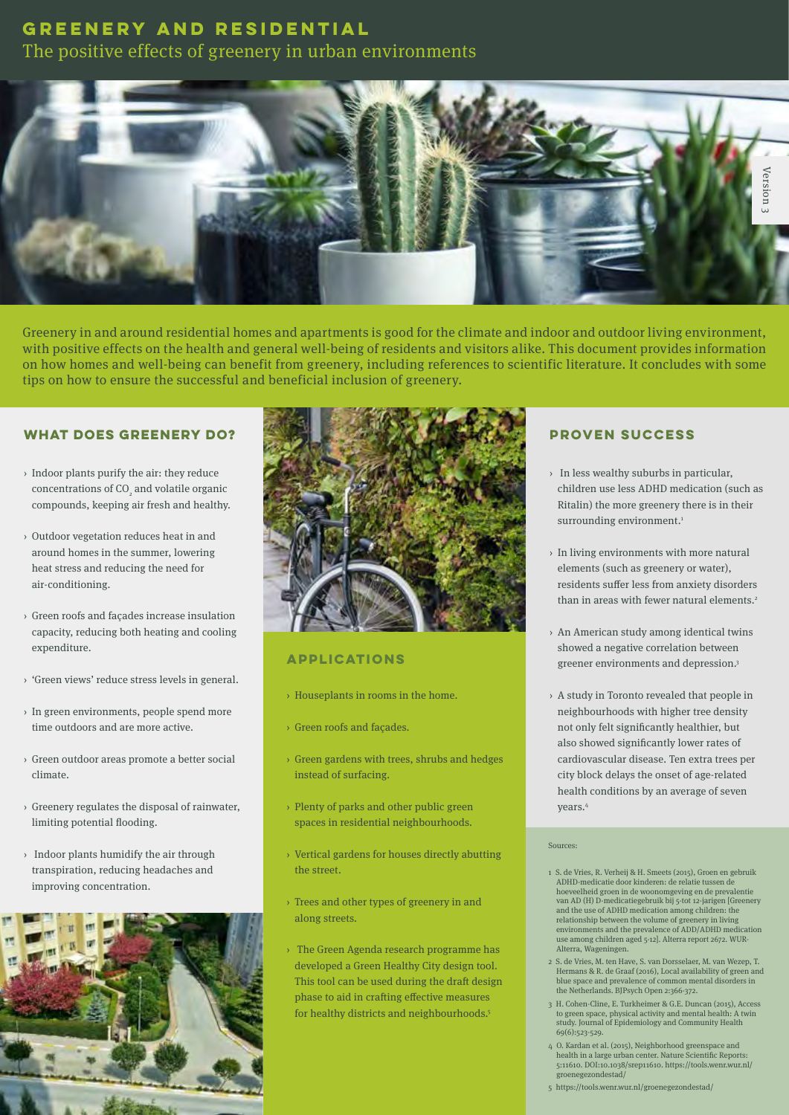The positive effects of greenery in urban environments



Greenery in and around residential homes and apartments is good for the climate and indoor and outdoor living environment, with positive effects on the health and general well-being of residents and visitors alike. This document provides information on how homes and well-being can benefit from greenery, including references to scientific literature. It concludes with some tips on how to ensure the successful and beneficial inclusion of greenery.

#### **WHAT DOES GREENERY DO?**

- › Indoor plants purify the air: they reduce concentrations of  $CO<sub>2</sub>$  and volatile organic compounds, keeping air fresh and healthy.
- › Outdoor vegetation reduces heat in and around homes in the summer, lowering heat stress and reducing the need for air-conditioning.
- › Green roofs and façades increase insulation capacity, reducing both heating and cooling expenditure.
- › 'Green views' reduce stress levels in general.
- › In green environments, people spend more time outdoors and are more active.
- › Green outdoor areas promote a better social climate.
- › Greenery regulates the disposal of rainwater, limiting potential flooding.
- › Indoor plants humidify the air through transpiration, reducing headaches and improving concentration.





### **APPLICATIONS**

- › Houseplants in rooms in the home.
- › Green roofs and façades.
- › Green gardens with trees, shrubs and hedges instead of surfacing.
- › Plenty of parks and other public green spaces in residential neighbourhoods.
- › Vertical gardens for houses directly abutting the street.
- › Trees and other types of greenery in and along streets.
- › The Green Agenda research programme has developed a Green Healthy City design tool. This tool can be used during the draft design phase to aid in crafting effective measures for healthy districts and neighbourhoods.<sup>5</sup>

### **PROVEN SUCCESS**

- › In less wealthy suburbs in particular, children use less ADHD medication (such as Ritalin) the more greenery there is in their surrounding environment.<sup>1</sup>
- › In living environments with more natural elements (such as greenery or water), residents suffer less from anxiety disorders than in areas with fewer natural elements.2
- › An American study among identical twins showed a negative correlation between greener environments and depression.3
- › A study in Toronto revealed that people in neighbourhoods with higher tree density not only felt significantly healthier, but also showed significantly lower rates of cardiovascular disease. Ten extra trees per city block delays the onset of age-related health conditions by an average of seven years.4

#### Sources:

- 1 S. de Vries, R. Verheij & H. Smeets (2015), Groen en gebruik ADHD-medicatie door kinderen: de relatie tussen de hoeveelheid groen in de woonomgeving en de prevalentie van AD (H) D-medicatiegebruik bij 5-tot 12-jarigen [Greenery and the use of ADHD medication among children: the relationship between the volume of greenery in living environments and the prevalence of ADD/ADHD medication use among children aged 5-12]. Alterra report 2672. WUR-Alterra, Wageningen.
- 2 S. de Vries, M. ten Have, S. van Dorsselaer, M. van Wezep, T. Hermans & R. de Graaf (2016), Local availability of green and blue space and prevalence of common mental disorders in the Netherlands. BJPsych Open 2:366-372.
- 3 H. Cohen-Cline, E. Turkheimer & G.E. Duncan (2015), Access to green space, physical activity and mental health: A twin study. Journal of Epidemiology and Community Health 69(6):523-529.
- 4 O. Kardan et al. (2015), Neighborhood greenspace and health in a large urban center. Nature Scientific Reports: 5:11610. DOI:10.1038/srep11610. https://tools.wenr.wur.nl/ groenegezondestad/
- 5 https://tools.wenr.wur.nl/groenegezondestad/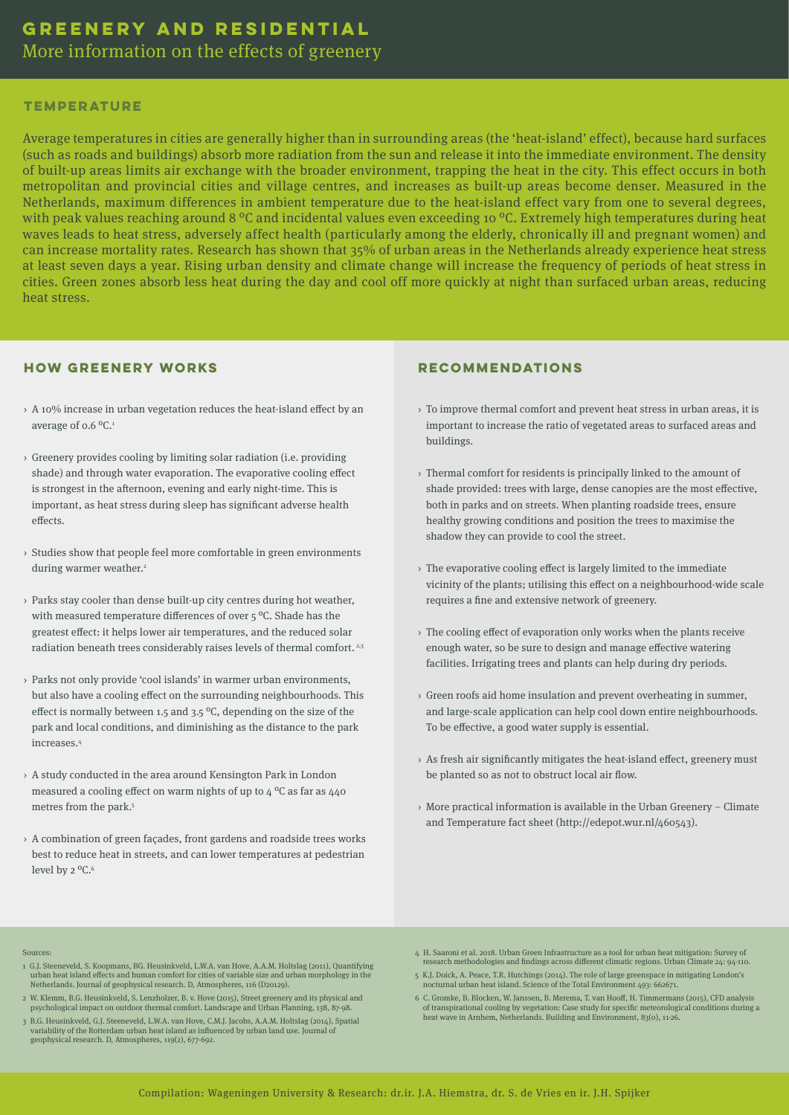More information on the effects of greenery

#### **TEMPERATURE**

Average temperatures in cities are generally higher than in surrounding areas (the 'heat-island' effect), because hard surfaces (such as roads and buildings) absorb more radiation from the sun and release it into the immediate environment. The density of built-up areas limits air exchange with the broader environment, trapping the heat in the city. This effect occurs in both metropolitan and provincial cities and village centres, and increases as built-up areas become denser. Measured in the Netherlands, maximum differences in ambient temperature due to the heat-island effect vary from one to several degrees, with peak values reaching around 8 <sup>o</sup>C and incidental values even exceeding 10 <sup>o</sup>C. Extremely high temperatures during heat waves leads to heat stress, adversely affect health (particularly among the elderly, chronically ill and pregnant women) and can increase mortality rates. Research has shown that 35% of urban areas in the Netherlands already experience heat stress at least seven days a year. Rising urban density and climate change will increase the frequency of periods of heat stress in cities. Green zones absorb less heat during the day and cool off more quickly at night than surfaced urban areas, reducing heat stress.

#### **HOW GREENERY WORKS**

- › A 10% increase in urban vegetation reduces the heat-island effect by an average of 0.6 ºC.1
- › Greenery provides cooling by limiting solar radiation (i.e. providing shade) and through water evaporation. The evaporative cooling effect is strongest in the afternoon, evening and early night-time. This is important, as heat stress during sleep has significant adverse health effects.
- › Studies show that people feel more comfortable in green environments during warmer weather.<sup>2</sup>
- › Parks stay cooler than dense built-up city centres during hot weather, with measured temperature differences of over 5 ºC. Shade has the greatest effect: it helps lower air temperatures, and the reduced solar radiation beneath trees considerably raises levels of thermal comfort.<sup>2,3</sup>
- › Parks not only provide 'cool islands' in warmer urban environments, but also have a cooling effect on the surrounding neighbourhoods. This effect is normally between 1.5 and 3.5  $\mathrm{^oC}$ , depending on the size of the park and local conditions, and diminishing as the distance to the park increases.4
- › A study conducted in the area around Kensington Park in London measured a cooling effect on warm nights of up to  $4^{\circ}$ C as far as  $440^{\circ}$ metres from the park.<sup>5</sup>
- › A combination of green façades, front gardens and roadside trees works best to reduce heat in streets, and can lower temperatures at pedestrian level by 2 °C.<sup>6</sup>

#### **RECOMMENDATIONS**

- › To improve thermal comfort and prevent heat stress in urban areas, it is important to increase the ratio of vegetated areas to surfaced areas and buildings.
- › Thermal comfort for residents is principally linked to the amount of shade provided: trees with large, dense canopies are the most effective, both in parks and on streets. When planting roadside trees, ensure healthy growing conditions and position the trees to maximise the shadow they can provide to cool the street.
- › The evaporative cooling effect is largely limited to the immediate vicinity of the plants; utilising this effect on a neighbourhood-wide scale requires a fine and extensive network of greenery.
- › The cooling effect of evaporation only works when the plants receive enough water, so be sure to design and manage effective watering facilities. Irrigating trees and plants can help during dry periods.
- › Green roofs aid home insulation and prevent overheating in summer, and large-scale application can help cool down entire neighbourhoods. To be effective, a good water supply is essential.
- › As fresh air significantly mitigates the heat-island effect, greenery must be planted so as not to obstruct local air flow.
- › More practical information is available in the Urban Greenery Climate and Temperature fact sheet (http://edepot.wur.nl/460543).

- Sources:
- 1 G.J. Steeneveld, S. Koopmans, BG. Heusinkveld, L.W.A. van Hove, A.A.M. Holtslag (2011), Quantifying urban heat island effects and human comfort for cities of variable size and urban morphology in the Netherlands. Journal of geophysical research. D, Atmospheres, 116 (D20129).
- 2 W. Klemm, B.G. Heusinkveld, S. Lenzholzer, B. v. Hove (2015), Street greenery and its physical and
- psychological impact on outdoor thermal comfort. Landscape and Urban Planning, 138, 87-98. 3 B.G. Heusinkveld, G.J. Steeneveld, L.W.A. van Hove, C.M.J. Jacobs, A.A.M. Holtslag (2014), Spatial
- variability of the Rotterdam urban heat island as influenced by urban land use. Journal of geophysical research. D, Atmospheres, 119(2), 677-692.
- 4 H. Saaroni et al. 2018. Urban Green Infrastructure as a tool for urban heat mitigation: Survey of research methodologies and findings across different climatic regions. Urban Climate 24: 94-110.
- 5 K.J. Doick, A. Peace, T.R. Hutchings (2014). The role of large greenspace in mitigating London's nocturnal urban heat island. Science of the Total Environment 493: 662671.
- 6 C. Gromke, B. Blocken, W. Janssen, B. Merema, T. van Hooff, H. Timmermans (2015), CFD analysis of transpirational cooling by vegetation: Case study for specific meteorological conditions during a heat wave in Arnhem, Netherlands. Building and Environment, 83(0), 11-26.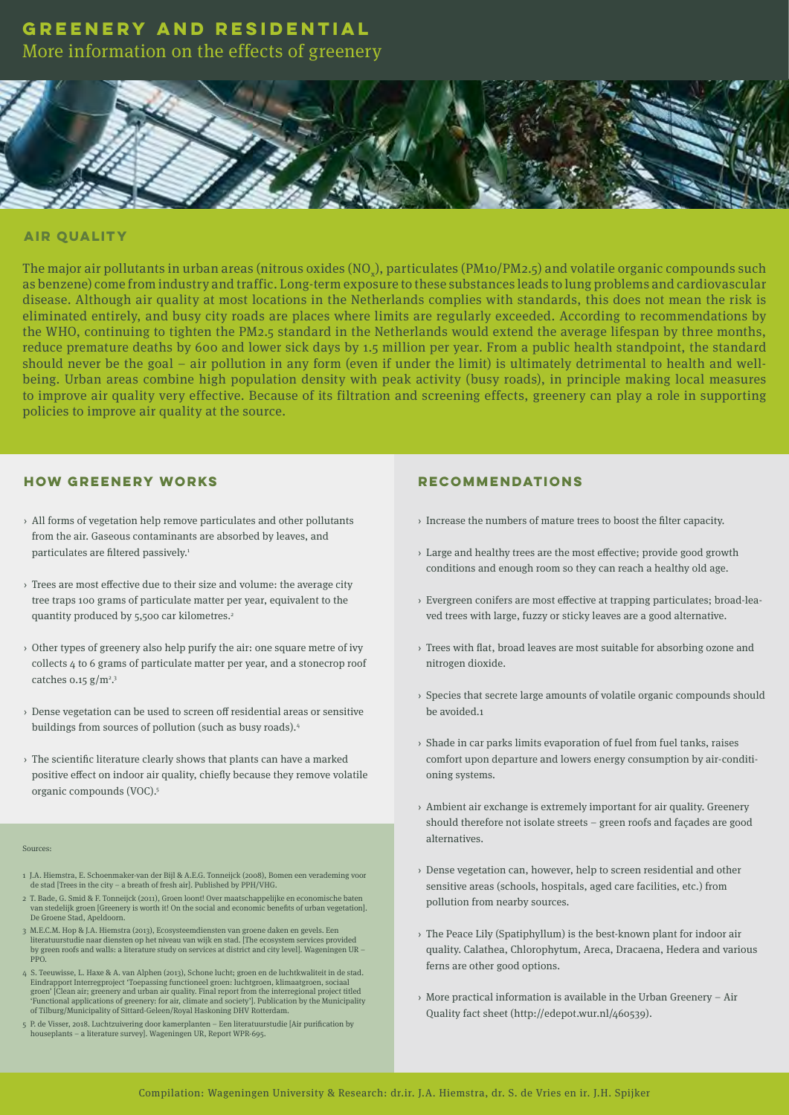More information on the effects of greenery



#### **AIR QUALITY**

The major air pollutants in urban areas (nitrous oxides (NO<sub>x</sub>), particulates (PM10/PM2.5) and volatile organic compounds such as benzene) come from industry and traffic. Long-term exposure to these substances leads to lung problems and cardiovascular disease. Although air quality at most locations in the Netherlands complies with standards, this does not mean the risk is eliminated entirely, and busy city roads are places where limits are regularly exceeded. According to recommendations by the WHO, continuing to tighten the PM2.5 standard in the Netherlands would extend the average lifespan by three months, reduce premature deaths by 600 and lower sick days by 1.5 million per year. From a public health standpoint, the standard should never be the goal – air pollution in any form (even if under the limit) is ultimately detrimental to health and wellbeing. Urban areas combine high population density with peak activity (busy roads), in principle making local measures to improve air quality very effective. Because of its filtration and screening effects, greenery can play a role in supporting policies to improve air quality at the source.

#### **HOW GREENERY WORKS**

- › All forms of vegetation help remove particulates and other pollutants from the air. Gaseous contaminants are absorbed by leaves, and particulates are filtered passively.<sup>1</sup>
- › Trees are most effective due to their size and volume: the average city tree traps 100 grams of particulate matter per year, equivalent to the quantity produced by 5,500 car kilometres.<sup>2</sup>
- $\rightarrow$  Other types of greenery also help purify the air: one square metre of ivy collects 4 to 6 grams of particulate matter per year, and a stonecrop roof catches  $0.15$   $g/m^2$ <sup>3</sup>
- › Dense vegetation can be used to screen off residential areas or sensitive buildings from sources of pollution (such as busy roads).4
- › The scientific literature clearly shows that plants can have a marked positive effect on indoor air quality, chiefly because they remove volatile organic compounds (VOC).5

#### Sources:

- 1 J.A. Hiemstra, E. Schoenmaker-van der Bijl & A.E.G. Tonneijck (2008), Bomen een verademing voor de stad [Trees in the city a breath of fresh air]. Published by PPH/VHG.
- 2 T. Bade, G. Smid & F. Tonneijck (2011), Groen loont! Over maatschappelijke en economische baten van stedelijk groen [Greenery is worth it! On the social and economic benefits of urban vegetation]. De Groene Stad, Apeldoorn.
- 3 M.E.C.M. Hop & J.A. Hiemstra (2013), Ecosysteemdiensten van groene daken en gevels. Een literatuurstudie naar diensten op het niveau van wijk en stad. [The ecosystem services provided by green roofs and walls: a literature study on services at district and city level]. Wageningen UR – PPO.
- 4 S. Teeuwisse, L. Haxe & A. van Alphen (2013), Schone lucht; groen en de luchtkwaliteit in de stad. Eindrapport Interregproject 'Toepassing functioneel groen: luchtgroen, klimaatgroen, sociaal groen' [Clean air; greenery and urban air quality. Final report from the interregional project titled 'Functional applications of greenery: for air, climate and society']. Publication by the Municipality of Tilburg/Municipality of Sittard-Geleen/Royal Haskoning DHV Rotterdam.
- 5 P. de Visser, 2018. Luchtzuivering door kamerplanten Een literatuurstudie [Air purification by houseplants – a literature survey]. Wageningen UR, Report WPR-695.

#### **RECOMMENDATIONS**

- › Increase the numbers of mature trees to boost the filter capacity.
- › Large and healthy trees are the most effective; provide good growth conditions and enough room so they can reach a healthy old age.
- › Evergreen conifers are most effective at trapping particulates; broad-leaved trees with large, fuzzy or sticky leaves are a good alternative.
- › Trees with flat, broad leaves are most suitable for absorbing ozone and nitrogen dioxide.
- › Species that secrete large amounts of volatile organic compounds should be avoided.1
- › Shade in car parks limits evaporation of fuel from fuel tanks, raises comfort upon departure and lowers energy consumption by air-conditioning systems.
- $\rightarrow$  Ambient air exchange is extremely important for air quality. Greenery should therefore not isolate streets – green roofs and façades are good alternatives.
- › Dense vegetation can, however, help to screen residential and other sensitive areas (schools, hospitals, aged care facilities, etc.) from pollution from nearby sources.
- › The Peace Lily (Spatiphyllum) is the best-known plant for indoor air quality. Calathea, Chlorophytum, Areca, Dracaena, Hedera and various ferns are other good options.
- › More practical information is available in the Urban Greenery Air Quality fact sheet (http://edepot.wur.nl/460539).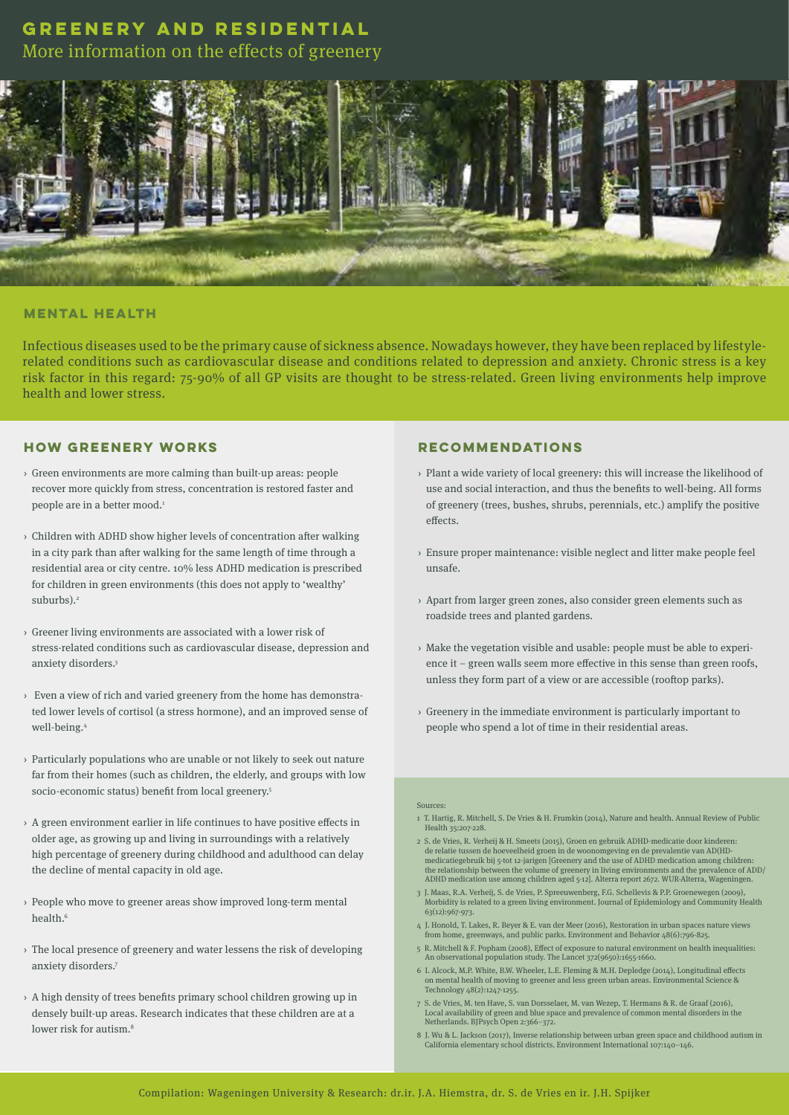More information on the effects of greenery



#### **MENTAL HEALTH**

Infectious diseases used to be the primary cause of sickness absence. Nowadays however, they have been replaced by lifestylerelated conditions such as cardiovascular disease and conditions related to depression and anxiety. Chronic stress is a key risk factor in this regard: 75-90% of all GP visits are thought to be stress-related. Green living environments help improve health and lower stress.

#### **HOW GREENERY WORKS**

- › Green environments are more calming than built-up areas: people recover more quickly from stress, concentration is restored faster and people are in a better mood.<sup>1</sup>
- › Children with ADHD show higher levels of concentration after walking in a city park than after walking for the same length of time through a residential area or city centre. 10% less ADHD medication is prescribed for children in green environments (this does not apply to 'wealthy' suburbs).<sup>2</sup>
- › Greener living environments are associated with a lower risk of stress-related conditions such as cardiovascular disease, depression and anxiety disorders.3
- › Even a view of rich and varied greenery from the home has demonstrated lower levels of cortisol (a stress hormone), and an improved sense of well-being.4
- › Particularly populations who are unable or not likely to seek out nature far from their homes (such as children, the elderly, and groups with low socio-economic status) benefit from local greenery.<sup>5</sup>
- $\rightarrow$  A green environment earlier in life continues to have positive effects in older age, as growing up and living in surroundings with a relatively high percentage of greenery during childhood and adulthood can delay the decline of mental capacity in old age.
- › People who move to greener areas show improved long-term mental health<sup>6</sup>
- › The local presence of greenery and water lessens the risk of developing anxiety disorders.7
- $\rightarrow$  A high density of trees benefits primary school children growing up in densely built-up areas. Research indicates that these children are at a lower risk for autism.<sup>8</sup>

### **RECOMMENDATIONS**

- › Plant a wide variety of local greenery: this will increase the likelihood of use and social interaction, and thus the benefits to well-being. All forms of greenery (trees, bushes, shrubs, perennials, etc.) amplify the positive effects.
- › Ensure proper maintenance: visible neglect and litter make people feel unsafe.
- › Apart from larger green zones, also consider green elements such as roadside trees and planted gardens.
- › Make the vegetation visible and usable: people must be able to experience it – green walls seem more effective in this sense than green roofs, unless they form part of a view or are accessible (rooftop parks).
- › Greenery in the immediate environment is particularly important to people who spend a lot of time in their residential areas.

#### Sources:

- 1 T. Hartig, R. Mitchell, S. De Vries & H. Frumkin (2014), Nature and health. Annual Review of Public Health 35:207-228.
- 2 S. de Vries, R. Verheij & H. Smeets (2015), Groen en gebruik ADHD-medicatie door kinderen: de relatie tussen de hoeveelheid groen in de woonomgeving en de prevalentie van AD(HD-<br>medicatiegebruik bij 5-tot 12-jarigen [Greenery and the use of ADHD medication among children:<br>the relationship between the volume of g ADHD medication use among children aged 5-12]. Alterra report 2672. WUR-Alterra, Wageningen.
- 3 J. Maas, R.A. Verheij, S. de Vries, P. Spreeuwenberg, F.G. Schellevis & P.P. Groenewegen (2009), Morbidity is related to a green living environment. Journal of Epidemiology and Community Health 63(12):967-973.
- 4 J. Honold, T. Lakes, R. Beyer & E. van der Meer (2016), Restoration in urban spaces nature views from home, greenways, and public parks. Environment and Behavior 48(6):796-825.
- 5 R. Mitchell & F. Popham (2008), Effect of exposure to natural environment on health inequalities: An observational population study. The Lancet 372(9650):1655-1660.
- 6 I. Alcock, M.P. White, B.W. Wheeler, L.E. Fleming & M.H. Depledge (2014), Longitudinal effects mental health of moving to greener and less green urban areas. Envir Technology 48(2):1247-1255.
- 7 S. de Vries, M. ten Have, S. van Dorsselaer, M. van Wezep, T. Hermans & R. de Graaf (2016), Local availability of green and blue space and prevalence of common mental disorders in the Netherlands. BJPsych Open 2:366–372.
- 8 J. Wu & L. Jackson (2017), Inverse relationship between urban green space and childhood autism in California elementary school districts. Environment International 107:140–146.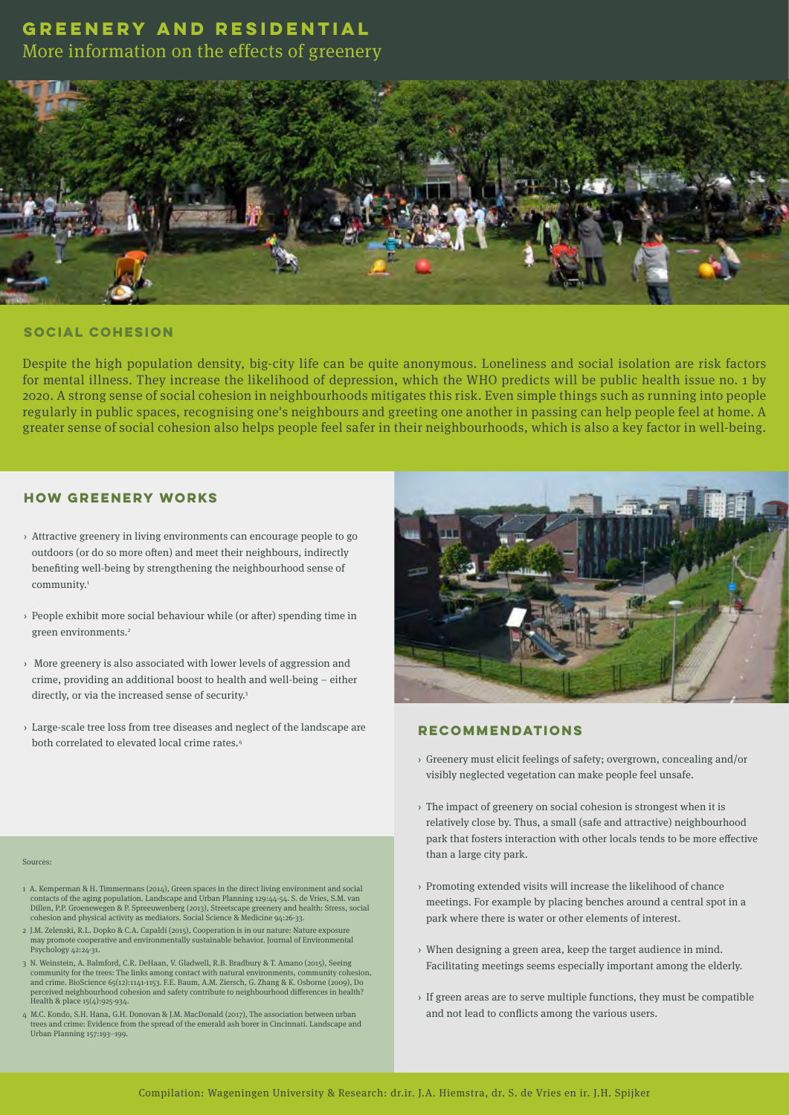More information on the effects of greenery



### **SOCIAL COHESION**

Despite the high population density, big-city life can be quite anonymous. Loneliness and social isolation are risk factors for mental illness. They increase the likelihood of depression, which the WHO predicts will be public health issue no. 1 by 2020. A strong sense of social cohesion in neighbourhoods mitigates this risk. Even simple things such as running into people regularly in public spaces, recognising one's neighbours and greeting one another in passing can help people feel at home. A greater sense of social cohesion also helps people feel safer in their neighbourhoods, which is also a key factor in well-being.

### **HOW GREENERY WORKS**

- › Attractive greenery in living environments can encourage people to go outdoors (or do so more often) and meet their neighbours, indirectly benefiting well-being by strengthening the neighbourhood sense of community.<sup>1</sup>
- › People exhibit more social behaviour while (or after) spending time in green environments.<sup>2</sup>
- › More greenery is also associated with lower levels of aggression and crime, providing an additional boost to health and well-being – either directly, or via the increased sense of security.<sup>3</sup>
- › Large-scale tree loss from tree diseases and neglect of the landscape are both correlated to elevated local crime rates.4



#### **RECOMMENDATIONS**

- › Greenery must elicit feelings of safety; overgrown, concealing and/or visibly neglected vegetation can make people feel unsafe.
- › The impact of greenery on social cohesion is strongest when it is relatively close by. Thus, a small (safe and attractive) neighbourhood park that fosters interaction with other locals tends to be more effective than a large city park.
- › Promoting extended visits will increase the likelihood of chance meetings. For example by placing benches around a central spot in a park where there is water or other elements of interest.
- › When designing a green area, keep the target audience in mind. Facilitating meetings seems especially important among the elderly.
- › If green areas are to serve multiple functions, they must be compatible and not lead to conflicts among the various users.

#### Sources:

- 1 A. Kemperman & H. Timmermans (2014), Green spaces in the direct living environment and social contacts of the aging population. Landscape and Urban Planning 129:44-54. S. de Vries, S.M. van Dillen, P.P. Groenewegen & P. Spreeuwenberg (2013), Streetscape greenery and health: Stress, social cohesion and physical activity as mediators. Social Science & Medicine 94:26-33.
- 2 J.M. Zelenski, R.L. Dopko & C.A. Capaldi (2015), Cooperation is in our nature: Nature exposure may promote cooperative and environmentally sustainable behavior. Journal of Environmental Psychology 42:24-31.
- 3 N. Weinstein, A. Balmford, C.R. DeHaan, V. Gladwell, R.B. Bradbury & T. Amano (2015), Seeing community for the trees: The links among contact with natural environments, community cohesion, and crime. BioScience 65(12):1141-1153. F.E. Baum, A.M. Ziersch, G. Zhang & K. Osborne (2009), Do perceived neighbourhood cohesion and safety contribute to neighbourhood differences in health? Health & place  $15(4):925-934$ .
- 4 M.C. Kondo, S.H. Hana, G.H. Donovan & J.M. MacDonald (2017), The association between urban trees and crime: Evidence from the spread of the emerald ash borer in Cincinnati. Landscape and Urban Planning 157:193–199.